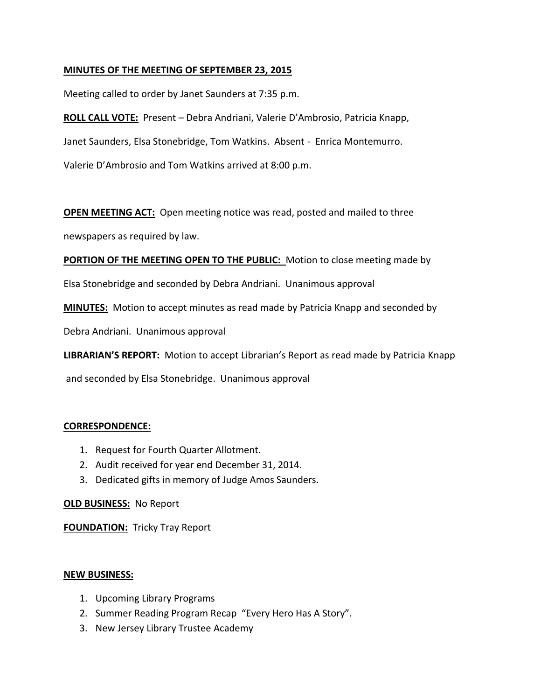## **MINUTES OF THE MEETING OF SEPTEMBER 23, 2015**

Meeting called to order by Janet Saunders at 7:35 p.m.

**ROLL CALL VOTE:** Present – Debra Andriani, Valerie D'Ambrosio, Patricia Knapp, Janet Saunders, Elsa Stonebridge, Tom Watkins. Absent - Enrica Montemurro. Valerie D'Ambrosio and Tom Watkins arrived at 8:00 p.m.

**OPEN MEETING ACT:** Open meeting notice was read, posted and mailed to three

newspapers as required by law.

**PORTION OF THE MEETING OPEN TO THE PUBLIC:** Motion to close meeting made by

Elsa Stonebridge and seconded by Debra Andriani. Unanimous approval

**MINUTES:** Motion to accept minutes as read made by Patricia Knapp and seconded by

Debra Andriani. Unanimous approval

**LIBRARIAN'S REPORT:** Motion to accept Librarian's Report as read made by Patricia Knapp

and seconded by Elsa Stonebridge. Unanimous approval

## **CORRESPONDENCE:**

- 1. Request for Fourth Quarter Allotment.
- 2. Audit received for year end December 31, 2014.
- 3. Dedicated gifts in memory of Judge Amos Saunders.

**OLD BUSINESS:** No Report

**FOUNDATION:** Tricky Tray Report

#### **NEW BUSINESS:**

- 1. Upcoming Library Programs
- 2. Summer Reading Program Recap "Every Hero Has A Story".
- 3. New Jersey Library Trustee Academy